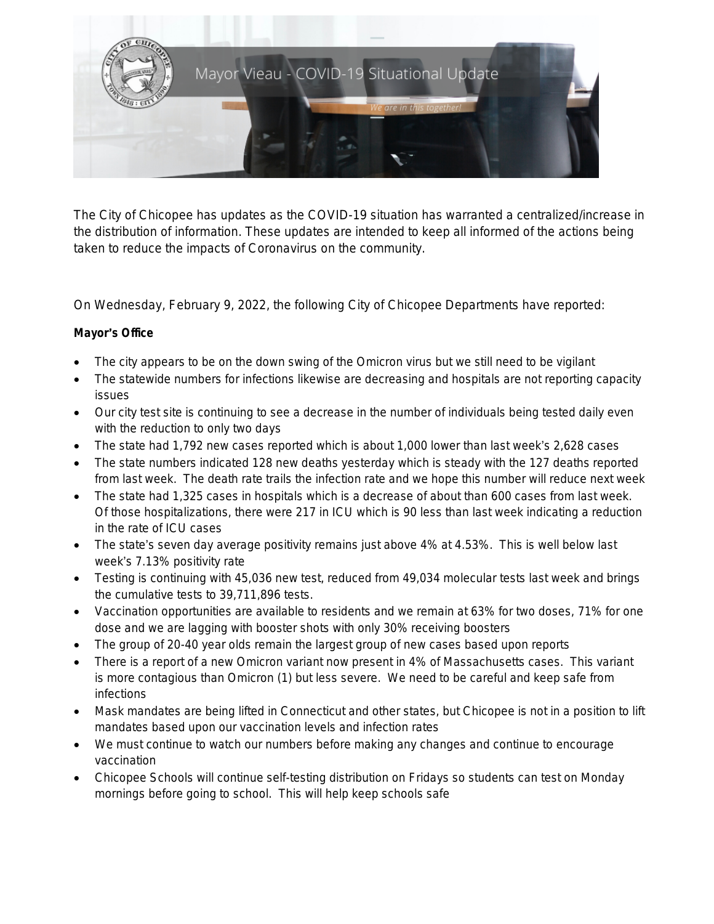

The City of Chicopee has updates as the COVID-19 situation has warranted a centralized/increase in the distribution of information. These updates are intended to keep all informed of the actions being taken to reduce the impacts of Coronavirus on the community.

On Wednesday, February 9, 2022, the following City of Chicopee Departments have reported:

# **Mayor**'**s Office**

- The city appears to be on the down swing of the Omicron virus but we still need to be vigilant
- The statewide numbers for infections likewise are decreasing and hospitals are not reporting capacity issues
- Our city test site is continuing to see a decrease in the number of individuals being tested daily even with the reduction to only two days
- The state had 1,792 new cases reported which is about 1,000 lower than last week's 2,628 cases
- The state numbers indicated 128 new deaths yesterday which is steady with the 127 deaths reported from last week. The death rate trails the infection rate and we hope this number will reduce next week
- The state had 1,325 cases in hospitals which is a decrease of about than 600 cases from last week. Of those hospitalizations, there were 217 in ICU which is 90 less than last week indicating a reduction in the rate of ICU cases
- The state's seven day average positivity remains just above 4% at 4.53%. This is well below last week's 7.13% positivity rate
- Testing is continuing with 45,036 new test, reduced from 49,034 molecular tests last week and brings the cumulative tests to 39,711,896 tests.
- Vaccination opportunities are available to residents and we remain at 63% for two doses, 71% for one dose and we are lagging with booster shots with only 30% receiving boosters
- The group of 20-40 year olds remain the largest group of new cases based upon reports
- There is a report of a new Omicron variant now present in 4% of Massachusetts cases. This variant is more contagious than Omicron (1) but less severe. We need to be careful and keep safe from infections
- Mask mandates are being lifted in Connecticut and other states, but Chicopee is not in a position to lift mandates based upon our vaccination levels and infection rates
- We must continue to watch our numbers before making any changes and continue to encourage vaccination
- Chicopee Schools will continue self-testing distribution on Fridays so students can test on Monday mornings before going to school. This will help keep schools safe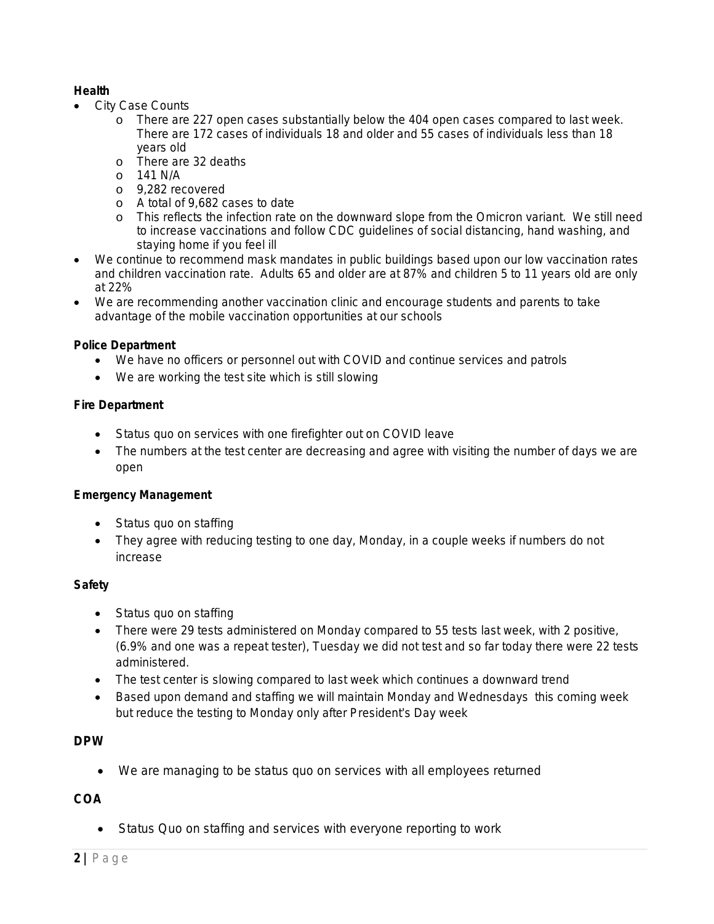## **Health**

- City Case Counts
	- o There are 227 open cases substantially below the 404 open cases compared to last week. There are 172 cases of individuals 18 and older and 55 cases of individuals less than 18 years old
	- o There are 32 deaths
	- o 141 N/A
	- o 9,282 recovered
	- o A total of 9,682 cases to date
	- o This reflects the infection rate on the downward slope from the Omicron variant. We still need to increase vaccinations and follow CDC guidelines of social distancing, hand washing, and staying home if you feel ill
- We continue to recommend mask mandates in public buildings based upon our low vaccination rates and children vaccination rate. Adults 65 and older are at 87% and children 5 to 11 years old are only at 22%
- We are recommending another vaccination clinic and encourage students and parents to take advantage of the mobile vaccination opportunities at our schools

## **Police Department**

- We have no officers or personnel out with COVID and continue services and patrols
- We are working the test site which is still slowing

#### **Fire Department**

- Status quo on services with one firefighter out on COVID leave
- The numbers at the test center are decreasing and agree with visiting the number of days we are open

## **Emergency Management**

- Status quo on staffing
- They agree with reducing testing to one day, Monday, in a couple weeks if numbers do not increase

## **Safety**

- Status quo on staffing
- There were 29 tests administered on Monday compared to 55 tests last week, with 2 positive, (6.9% and one was a repeat tester), Tuesday we did not test and so far today there were 22 tests administered.
- The test center is slowing compared to last week which continues a downward trend
- Based upon demand and staffing we will maintain Monday and Wednesdays this coming week but reduce the testing to Monday only after President's Day week

## **DPW**

We are managing to be status quo on services with all employees returned

# **COA**

• Status Quo on staffing and services with everyone reporting to work